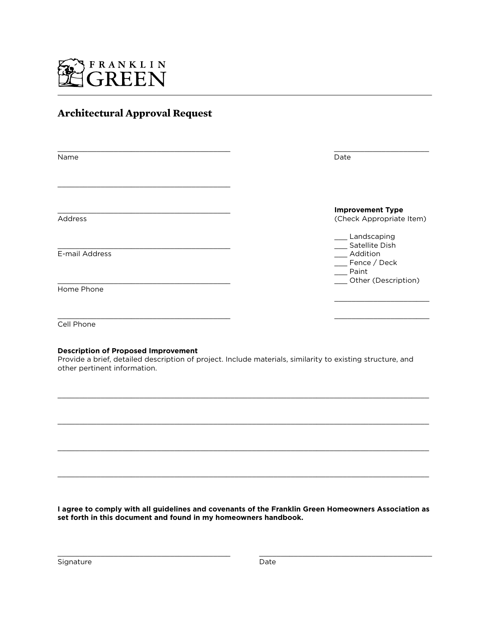

# **Architectural Approval Request**

| Name           | Date                                                                     |
|----------------|--------------------------------------------------------------------------|
| Address        | <b>Improvement Type</b><br>(Check Appropriate Item)                      |
| E-mail Address | _ Landscaping<br>Satellite Dish<br>_ Addition<br>_ Fence / Deck<br>Paint |
| Home Phone     | __ Other (Description)                                                   |
| Cell Phone     |                                                                          |

#### **Description of Proposed Improvement**

Provide a brief, detailed description of project. Include materials, similarity to existing structure, and other pertinent information.

 $\_$  ,  $\_$  ,  $\_$  ,  $\_$  ,  $\_$  ,  $\_$  ,  $\_$  ,  $\_$  ,  $\_$  ,  $\_$  ,  $\_$  ,  $\_$  ,  $\_$  ,  $\_$  ,  $\_$  ,  $\_$  ,  $\_$  ,  $\_$  ,  $\_$  ,  $\_$  ,  $\_$  ,  $\_$  ,  $\_$  ,  $\_$  ,  $\_$  ,  $\_$  ,  $\_$  ,  $\_$  ,  $\_$  ,  $\_$  ,  $\_$  ,  $\_$  ,  $\_$  ,  $\_$  ,  $\_$  ,  $\_$  ,  $\_$  ,

 $\_$  ,  $\_$  ,  $\_$  ,  $\_$  ,  $\_$  ,  $\_$  ,  $\_$  ,  $\_$  ,  $\_$  ,  $\_$  ,  $\_$  ,  $\_$  ,  $\_$  ,  $\_$  ,  $\_$  ,  $\_$  ,  $\_$  ,  $\_$  ,  $\_$  ,  $\_$  ,  $\_$  ,  $\_$  ,  $\_$  ,  $\_$  ,  $\_$  ,  $\_$  ,  $\_$  ,  $\_$  ,  $\_$  ,  $\_$  ,  $\_$  ,  $\_$  ,  $\_$  ,  $\_$  ,  $\_$  ,  $\_$  ,  $\_$  ,

 $\_$  ,  $\_$  ,  $\_$  ,  $\_$  ,  $\_$  ,  $\_$  ,  $\_$  ,  $\_$  ,  $\_$  ,  $\_$  ,  $\_$  ,  $\_$  ,  $\_$  ,  $\_$  ,  $\_$  ,  $\_$  ,  $\_$  ,  $\_$  ,  $\_$  ,  $\_$  ,  $\_$  ,  $\_$  ,  $\_$  ,  $\_$  ,  $\_$  ,  $\_$  ,  $\_$  ,  $\_$  ,  $\_$  ,  $\_$  ,  $\_$  ,  $\_$  ,  $\_$  ,  $\_$  ,  $\_$  ,  $\_$  ,  $\_$  ,

 $\_$  ,  $\_$  ,  $\_$  ,  $\_$  ,  $\_$  ,  $\_$  ,  $\_$  ,  $\_$  ,  $\_$  ,  $\_$  ,  $\_$  ,  $\_$  ,  $\_$  ,  $\_$  ,  $\_$  ,  $\_$  ,  $\_$  ,  $\_$  ,  $\_$  ,  $\_$  ,  $\_$  ,  $\_$  ,  $\_$  ,  $\_$  ,  $\_$  ,  $\_$  ,  $\_$  ,  $\_$  ,  $\_$  ,  $\_$  ,  $\_$  ,  $\_$  ,  $\_$  ,  $\_$  ,  $\_$  ,  $\_$  ,  $\_$  ,

**I agree to comply with all guidelines and covenants of the Franklin Green Homeowners Association as set forth in this document and found in my homeowners handbook.**

\_\_\_\_\_\_\_\_\_\_\_\_\_\_\_\_\_\_\_\_\_\_\_\_\_\_\_\_\_\_\_\_\_\_\_\_\_\_\_\_ \_\_\_\_\_\_\_\_\_\_\_\_\_\_\_\_\_\_\_\_\_\_\_\_\_\_\_\_\_\_\_\_\_\_\_\_\_\_\_\_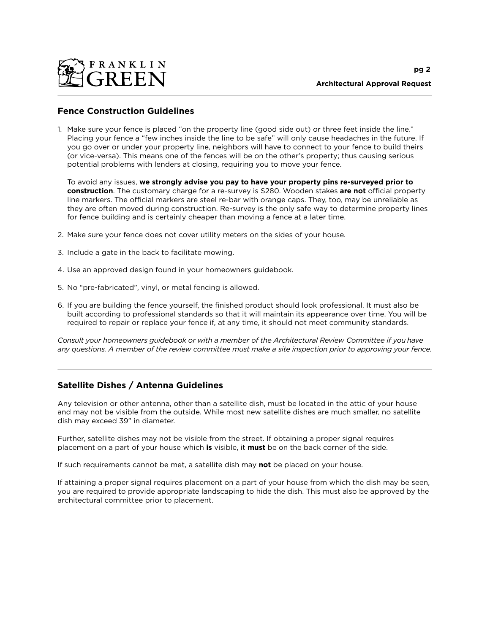

## **Fence Construction Guidelines**

1. Make sure your fence is placed "on the property line (good side out) or three feet inside the line." Placing your fence a "few inches inside the line to be safe" will only cause headaches in the future. If you go over or under your property line, neighbors will have to connect to your fence to build theirs (or vice-versa). This means one of the fences will be on the other's property; thus causing serious potential problems with lenders at closing, requiring you to move your fence.

To avoid any issues, **we strongly advise you pay to have your property pins re-surveyed prior to construction**. The customary charge for a re-survey is \$280. Wooden stakes **are not** official property line markers. The official markers are steel re-bar with orange caps. They, too, may be unreliable as they are often moved during construction. Re-survey is the only safe way to determine property lines for fence building and is certainly cheaper than moving a fence at a later time.

- 2. Make sure your fence does not cover utility meters on the sides of your house.
- 3. Include a gate in the back to facilitate mowing.
- 4. Use an approved design found in your homeowners guidebook.
- 5. No "pre-fabricated", vinyl, or metal fencing is allowed.
- 6. If you are building the fence yourself, the finished product should look professional. It must also be built according to professional standards so that it will maintain its appearance over time. You will be required to repair or replace your fence if, at any time, it should not meet community standards.

*Consult your homeowners guidebook or with a member of the Architectural Review Committee if you have any questions. A member of the review committee must make a site inspection prior to approving your fence.*

### **Satellite Dishes / Antenna Guidelines**

Any television or other antenna, other than a satellite dish, must be located in the attic of your house and may not be visible from the outside. While most new satellite dishes are much smaller, no satellite dish may exceed 39" in diameter.

Further, satellite dishes may not be visible from the street. If obtaining a proper signal requires placement on a part of your house which **is** visible, it **must** be on the back corner of the side.

If such requirements cannot be met, a satellite dish may **not** be placed on your house.

If attaining a proper signal requires placement on a part of your house from which the dish may be seen, you are required to provide appropriate landscaping to hide the dish. This must also be approved by the architectural committee prior to placement.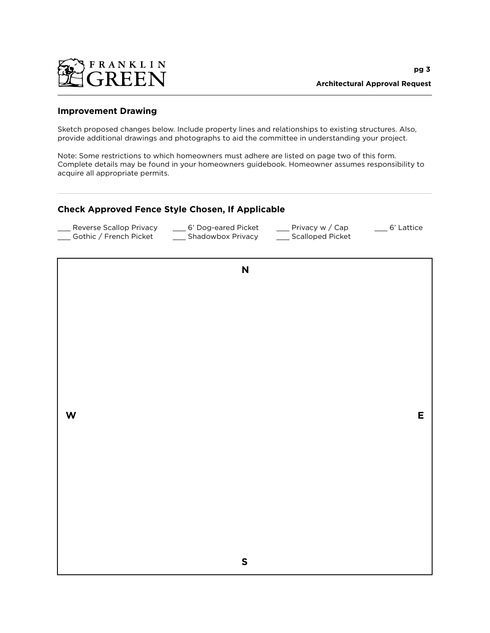

### **Improvement Drawing**

Sketch proposed changes below. Include property lines and relationships to existing structures. Also, provide additional drawings and photographs to aid the committee in understanding your project.

Note: Some restrictions to which homeowners must adhere are listed on page two of this form. Complete details may be found in your homeowners guidebook. Homeowner assumes responsibility to acquire all appropriate permits.

### **Check Approved Fence Style Chosen, If Applicable**

| Reverse Scallop Privacy | 6' Dog-eared Picket | Privacy w / Cap  | ___ 6' Lattice |
|-------------------------|---------------------|------------------|----------------|
| Gothic / French Picket  | Shadowbox Privacy   | Scalloped Picket |                |

**N**

**W E**